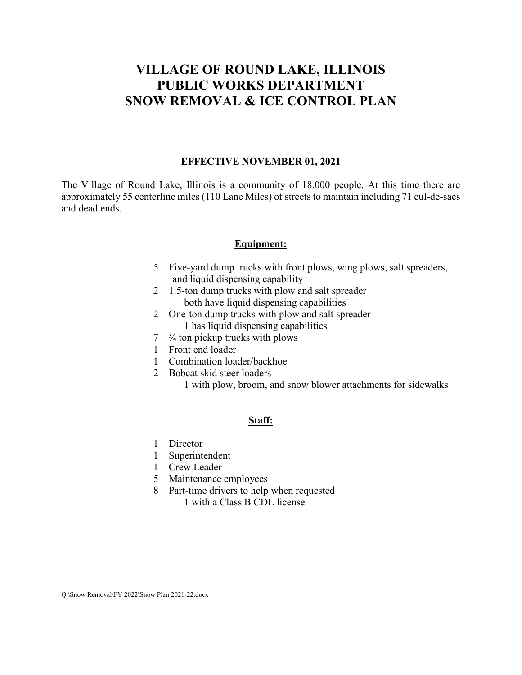# **VILLAGE OF ROUND LAKE, ILLINOIS PUBLIC WORKS DEPARTMENT SNOW REMOVAL & ICE CONTROL PLAN**

#### **EFFECTIVE NOVEMBER 01, 2021**

The Village of Round Lake, Illinois is a community of 18,000 people. At this time there are approximately 55 centerline miles (110 Lane Miles) of streets to maintain including 71 cul-de-sacs and dead ends.

#### **Equipment:**

- 5 Five-yard dump trucks with front plows, wing plows, salt spreaders, and liquid dispensing capability
- 2 1.5-ton dump trucks with plow and salt spreader both have liquid dispensing capabilities
- 2 One-ton dump trucks with plow and salt spreader 1 has liquid dispensing capabilities
- $7 \frac{3}{4}$  ton pickup trucks with plows
- 1 Front end loader
- 1 Combination loader/backhoe
- 2 Bobcat skid steer loaders

1 with plow, broom, and snow blower attachments for sidewalks

#### **Staff:**

- 1 Director
- 1 Superintendent
- 1 Crew Leader
- 5 Maintenance employees
- 8 Part-time drivers to help when requested 1 with a Class B CDL license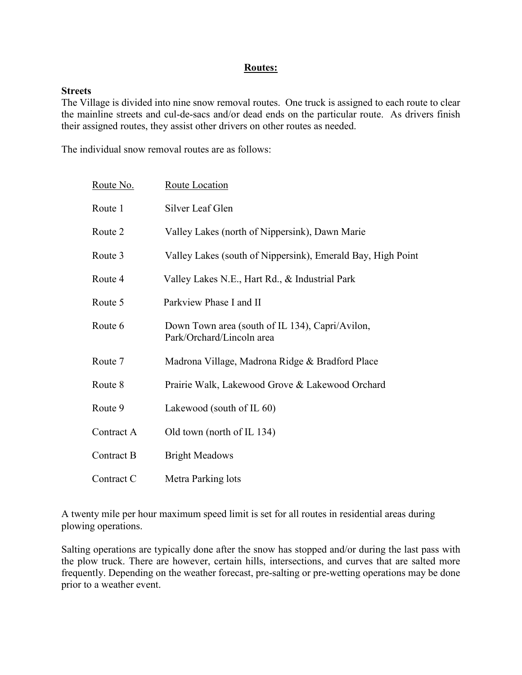#### **Routes:**

#### **Streets**

The Village is divided into nine snow removal routes. One truck is assigned to each route to clear the mainline streets and cul-de-sacs and/or dead ends on the particular route. As drivers finish their assigned routes, they assist other drivers on other routes as needed.

The individual snow removal routes are as follows:

| Route No.  | <b>Route Location</b>                                                        |
|------------|------------------------------------------------------------------------------|
| Route 1    | Silver Leaf Glen                                                             |
| Route 2    | Valley Lakes (north of Nippersink), Dawn Marie                               |
| Route 3    | Valley Lakes (south of Nippersink), Emerald Bay, High Point                  |
| Route 4    | Valley Lakes N.E., Hart Rd., & Industrial Park                               |
| Route 5    | Parkview Phase I and II                                                      |
| Route 6    | Down Town area (south of IL 134), Capri/Avilon,<br>Park/Orchard/Lincoln area |
| Route 7    | Madrona Village, Madrona Ridge & Bradford Place                              |
| Route 8    | Prairie Walk, Lakewood Grove & Lakewood Orchard                              |
| Route 9    | Lakewood (south of IL 60)                                                    |
| Contract A | Old town (north of IL 134)                                                   |
| Contract B | <b>Bright Meadows</b>                                                        |
| Contract C | Metra Parking lots                                                           |

A twenty mile per hour maximum speed limit is set for all routes in residential areas during plowing operations.

Salting operations are typically done after the snow has stopped and/or during the last pass with the plow truck. There are however, certain hills, intersections, and curves that are salted more frequently. Depending on the weather forecast, pre-salting or pre-wetting operations may be done prior to a weather event.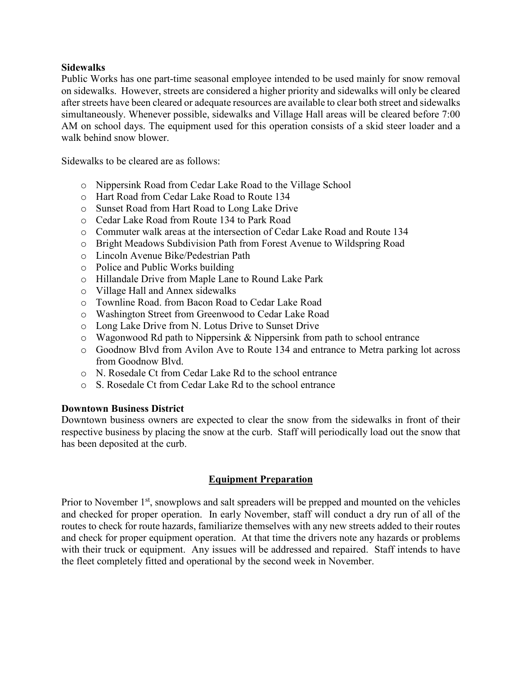## **Sidewalks**

Public Works has one part-time seasonal employee intended to be used mainly for snow removal on sidewalks. However, streets are considered a higher priority and sidewalks will only be cleared after streets have been cleared or adequate resources are available to clear both street and sidewalks simultaneously. Whenever possible, sidewalks and Village Hall areas will be cleared before 7:00 AM on school days. The equipment used for this operation consists of a skid steer loader and a walk behind snow blower.

Sidewalks to be cleared are as follows:

- o Nippersink Road from Cedar Lake Road to the Village School
- o Hart Road from Cedar Lake Road to Route 134
- o Sunset Road from Hart Road to Long Lake Drive
- o Cedar Lake Road from Route 134 to Park Road
- o Commuter walk areas at the intersection of Cedar Lake Road and Route 134
- o Bright Meadows Subdivision Path from Forest Avenue to Wildspring Road
- o Lincoln Avenue Bike/Pedestrian Path
- o Police and Public Works building
- o Hillandale Drive from Maple Lane to Round Lake Park
- o Village Hall and Annex sidewalks
- o Townline Road. from Bacon Road to Cedar Lake Road
- o Washington Street from Greenwood to Cedar Lake Road
- o Long Lake Drive from N. Lotus Drive to Sunset Drive
- o Wagonwood Rd path to Nippersink & Nippersink from path to school entrance
- o Goodnow Blvd from Avilon Ave to Route 134 and entrance to Metra parking lot across from Goodnow Blvd.
- o N. Rosedale Ct from Cedar Lake Rd to the school entrance
- o S. Rosedale Ct from Cedar Lake Rd to the school entrance

#### **Downtown Business District**

Downtown business owners are expected to clear the snow from the sidewalks in front of their respective business by placing the snow at the curb. Staff will periodically load out the snow that has been deposited at the curb.

## **Equipment Preparation**

Prior to November 1<sup>st</sup>, snowplows and salt spreaders will be prepped and mounted on the vehicles and checked for proper operation. In early November, staff will conduct a dry run of all of the routes to check for route hazards, familiarize themselves with any new streets added to their routes and check for proper equipment operation. At that time the drivers note any hazards or problems with their truck or equipment. Any issues will be addressed and repaired. Staff intends to have the fleet completely fitted and operational by the second week in November.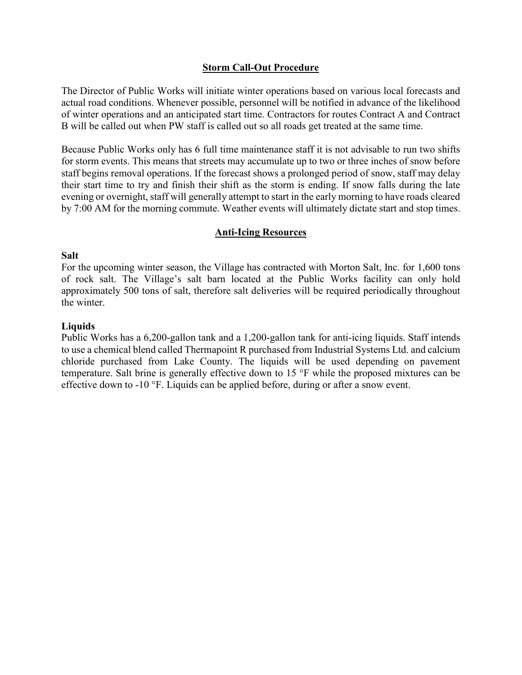## **Storm Call-Out Procedure**

The Director of Public Works will initiate winter operations based on various local forecasts and actual road conditions. Whenever possible, personnel will be notified in advance of the likelihood of winter operations and an anticipated start time. Contractors for routes Contract A and Contract B will be called out when PW staff is called out so all roads get treated at the same time.

Because Public Works only has 6 full time maintenance staff it is not advisable to run two shifts for storm events. This means that streets may accumulate up to two or three inches of snow before staff begins removal operations. If the forecast shows a prolonged period of snow, staff may delay their start time to try and finish their shift as the storm is ending. If snow falls during the late evening or overnight, staff will generally attempt to start in the early morning to have roads cleared by 7:00 AM for the morning commute. Weather events will ultimately dictate start and stop times.

## **Anti-Icing Resources**

#### **Salt**

For the upcoming winter season, the Village has contracted with Morton Salt, Inc. for 1,600 tons of rock salt. The Village's salt barn located at the Public Works facility can only hold approximately 500 tons of salt, therefore salt deliveries will be required periodically throughout the winter.

## **Liquids**

Public Works has a 6,200-gallon tank and a 1,200-gallon tank for anti-icing liquids. Staff intends to use a chemical blend called Thermapoint R purchased from Industrial Systems Ltd. and calcium chloride purchased from Lake County. The liquids will be used depending on pavement temperature. Salt brine is generally effective down to 15 °F while the proposed mixtures can be effective down to -10 °F. Liquids can be applied before, during or after a snow event.